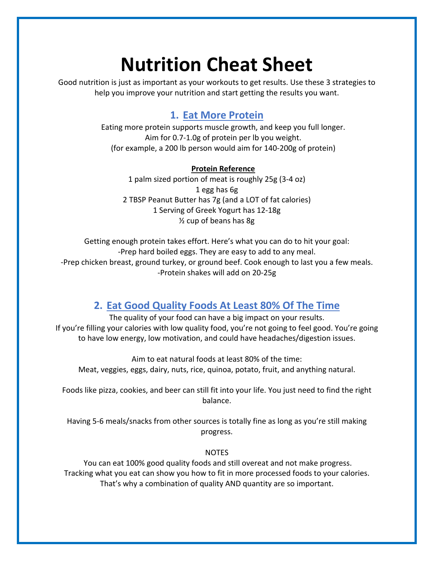# **Nutrition Cheat Sheet**

Good nutrition is just as important as your workouts to get results. Use these 3 strategies to help you improve your nutrition and start getting the results you want.

## **1. Eat More Protein**

Eating more protein supports muscle growth, and keep you full longer. Aim for 0.7-1.0g of protein per lb you weight. (for example, a 200 lb person would aim for 140-200g of protein)

#### **Protein Reference**

1 palm sized portion of meat is roughly 25g (3-4 oz) 1 egg has 6g 2 TBSP Peanut Butter has 7g (and a LOT of fat calories) 1 Serving of Greek Yogurt has 12-18g ½ cup of beans has 8g

Getting enough protein takes effort. Here's what you can do to hit your goal: -Prep hard boiled eggs. They are easy to add to any meal. -Prep chicken breast, ground turkey, or ground beef. Cook enough to last you a few meals. -Protein shakes will add on 20-25g

## **2. Eat Good Quality Foods At Least 80% Of The Time**

The quality of your food can have a big impact on your results. If you're filling your calories with low quality food, you're not going to feel good. You're going to have low energy, low motivation, and could have headaches/digestion issues.

Aim to eat natural foods at least 80% of the time: Meat, veggies, eggs, dairy, nuts, rice, quinoa, potato, fruit, and anything natural.

Foods like pizza, cookies, and beer can still fit into your life. You just need to find the right balance.

Having 5-6 meals/snacks from other sources is totally fine as long as you're still making progress.

#### **NOTES**

You can eat 100% good quality foods and still overeat and not make progress. Tracking what you eat can show you how to fit in more processed foods to your calories. That's why a combination of quality AND quantity are so important.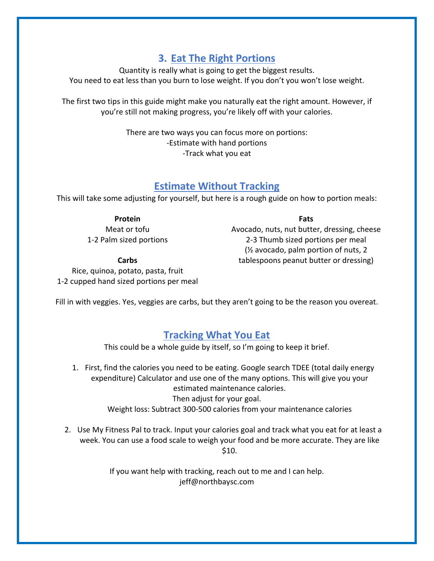## **3. Eat The Right Portions**

Quantity is really what is going to get the biggest results. You need to eat less than you burn to lose weight. If you don't you won't lose weight.

The first two tips in this guide might make you naturally eat the right amount. However, if you're still not making progress, you're likely off with your calories.

> There are two ways you can focus more on portions: -Estimate with hand portions -Track what you eat

### **Estimate Without Tracking**

This will take some adjusting for yourself, but here is a rough guide on how to portion meals:

#### **Protein**

Meat or tofu 1-2 Palm sized portions

#### **Fats**

Avocado, nuts, nut butter, dressing, cheese 2-3 Thumb sized portions per meal (½ avocado, palm portion of nuts, 2 tablespoons peanut butter or dressing)

**Carbs**

Rice, quinoa, potato, pasta, fruit 1-2 cupped hand sized portions per meal

Fill in with veggies. Yes, veggies are carbs, but they aren't going to be the reason you overeat.

## **Tracking What You Eat**

This could be a whole guide by itself, so I'm going to keep it brief.

- 1. First, find the calories you need to be eating. Google search TDEE (total daily energy expenditure) Calculator and use one of the many options. This will give you your estimated maintenance calories. Then adjust for your goal. Weight loss: Subtract 300-500 calories from your maintenance calories
- 2. Use My Fitness Pal to track. Input your calories goal and track what you eat for at least a week. You can use a food scale to weigh your food and be more accurate. They are like \$10.

If you want help with tracking, reach out to me and I can help. jeff@northbaysc.com